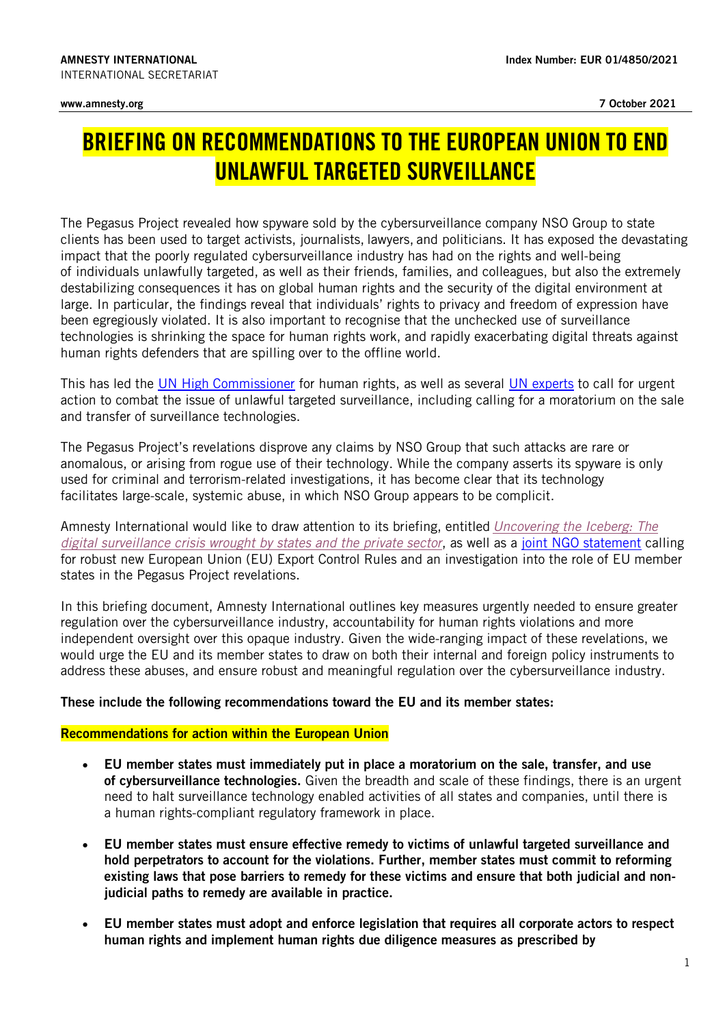## BRIEFING ON RECOMMENDATIONS TO THE EUROPEAN UNION TO END UNLAWFUL TARGETED SURVEILLANCE

The Pegasus Project revealed how spyware sold by the cybersurveillance company NSO Group to state clients has been used to target activists, journalists, lawyers, and politicians. It has exposed the devastating impact that the poorly regulated cybersurveillance industry has had on the rights and well-being of individuals unlawfully targeted, as well as their friends, families, and colleagues, but also the extremely destabilizing consequences it has on global human rights and the security of the digital environment at large. In particular, the findings reveal that individuals' rights to privacy and freedom of expression have been egregiously violated. It is also important to recognise that the unchecked use of surveillance technologies is shrinking the space for human rights work, and rapidly exacerbating digital threats against human rights defenders that are spilling over to the offline world.

This has led the [UN High Commissioner](https://www.ohchr.org/EN/NewsEvents/Pages/DisplayNews.aspx?NewsID=27455&LangID=E) for human rights, as well as several [UN experts](https://ohchr.org/EN/NewsEvents/Pages/DisplayNews.aspx?NewsID=27379&LangID=E) to call for urgent action to combat the issue of unlawful targeted surveillance, including calling for a moratorium on the sale and transfer of surveillance technologies.

The Pegasus Project's revelations disprove any claims by NSO Group that such attacks are rare or anomalous, or arising from rogue use of their technology. While the company asserts its spyware is only used for criminal and terrorism-related investigations, it has become clear that its technology facilitates large-scale, systemic abuse, in which NSO Group appears to be complicit.

Amnesty International would like to draw attention to its briefing, entitled *[Uncovering the Iceberg: The](https://www.amnesty.org/en/documents/doc10/4491/2021/en/)  [digital surveillance crisis wrought by states and the private sector](https://www.amnesty.org/en/documents/doc10/4491/2021/en/)*, as well as a [joint NGO statement](https://www.accessnow.org/cms/assets/uploads/2021/09/Pegasus_Export_Control_Rules_Statement.pdf) calling for robust new European Union (EU) Export Control Rules and an investigation into the role of EU member states in the Pegasus Project revelations.

In this briefing document, Amnesty International outlines key measures urgently needed to ensure greater regulation over the cybersurveillance industry, accountability for human rights violations and more independent oversight over this opaque industry. Given the wide-ranging impact of these revelations, we would urge the EU and its member states to draw on both their internal and foreign policy instruments to address these abuses, and ensure robust and meaningful regulation over the cybersurveillance industry.

## These include the following recommendations toward the EU and its member states:

## Recommendations for action within the European Union

- EU member states must immediately put in place a moratorium on the sale, transfer, and use of cybersurveillance technologies. Given the breadth and scale of these findings, there is an urgent need to halt surveillance technology enabled activities of all states and companies, until there is a human rights-compliant regulatory framework in place.
- EU member states must ensure effective remedy to victims of unlawful targeted surveillance and hold perpetrators to account for the violations. Further, member states must commit to reforming existing laws that pose barriers to remedy for these victims and ensure that both judicial and nonjudicial paths to remedy are available in practice.
- EU member states must adopt and enforce legislation that requires all corporate actors to respect human rights and implement human rights due diligence measures as prescribed by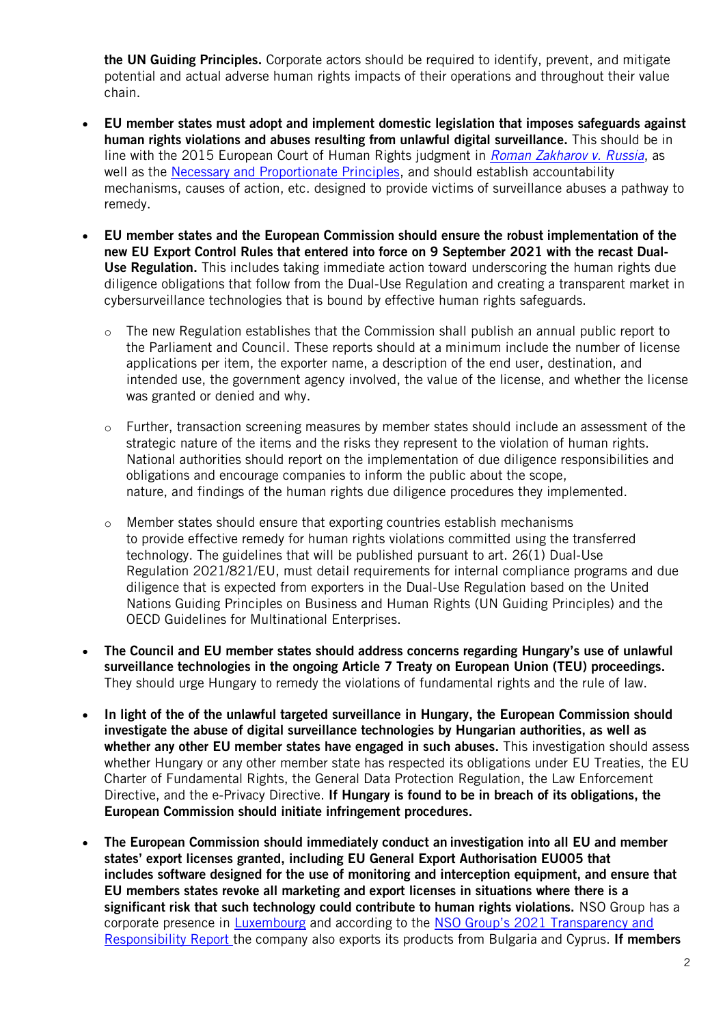the UN Guiding Principles. Corporate actors should be required to identify, prevent, and mitigate potential and actual adverse human rights impacts of their operations and throughout their value chain.

- EU member states must adopt and implement domestic legislation that imposes safeguards against human rights violations and abuses resulting from unlawful digital surveillance. This should be in line with the 2015 European Court of Human Rights judgment in *[Roman Zakharov v. Russia](https://www.echr.coe.int/Documents/Press_Q_A_Roman_Zakharov_ENG.PDF)*, as well as the [Necessary and Proportionate Principles,](https://necessaryandproportionate.org/principles/) and should establish accountability mechanisms, causes of action, etc. designed to provide victims of surveillance abuses a pathway to remedy.
- EU member states and the European Commission should ensure the robust implementation of the new EU Export Control Rules that entered into force on 9 September 2021 with the recast Dual-Use Regulation. This includes taking immediate action toward underscoring the human rights due diligence obligations that follow from the Dual-Use Regulation and creating a transparent market in cybersurveillance technologies that is bound by effective human rights safeguards.
	- o The new Regulation establishes that the Commission shall publish an annual public report to the Parliament and Council. These reports should at a minimum include the number of license applications per item, the exporter name, a description of the end user, destination, and intended use, the government agency involved, the value of the license, and whether the license was granted or denied and why.
	- o Further, transaction screening measures by member states should include an assessment of the strategic nature of the items and the risks they represent to the violation of human rights. National authorities should report on the implementation of due diligence responsibilities and obligations and encourage companies to inform the public about the scope, nature, and findings of the human rights due diligence procedures they implemented.
	- $\circ$  Member states should ensure that exporting countries establish mechanisms to provide effective remedy for human rights violations committed using the transferred technology. The guidelines that will be published pursuant to art. 26(1) Dual-Use Regulation 2021/821/EU, must detail requirements for internal compliance programs and due diligence that is expected from exporters in the Dual-Use Regulation based on the United Nations Guiding Principles on Business and Human Rights (UN Guiding Principles) and the OECD Guidelines for Multinational Enterprises.
- The Council and EU member states should address concerns regarding Hungary's use of unlawful surveillance technologies in the ongoing Article 7 Treaty on European Union (TEU) proceedings. They should urge Hungary to remedy the violations of fundamental rights and the rule of law.
- In light of the of the unlawful targeted surveillance in Hungary, the European Commission should investigate the abuse of digital surveillance technologies by Hungarian authorities, as well as whether any other EU member states have engaged in such abuses. This investigation should assess whether Hungary or any other member state has respected its obligations under EU Treaties, the EU Charter of Fundamental Rights, the General Data Protection Regulation, the Law Enforcement Directive, and the e-Privacy Directive. If Hungary is found to be in breach of its obligations, the European Commission should initiate infringement procedures.
- The European Commission should immediately conduct an investigation into all EU and member states' export licenses granted, including EU General Export Authorisation EU005 that includes software designed for the use of monitoring and interception equipment, and ensure that EU members states revoke all marketing and export licenses in situations where there is a significant risk that such technology could contribute to human rights violations. NSO Group has a corporate presence in [Luxembourg](https://www.amnesty.org/en/documents/doc10/4182/2021/en/) and according to the [NSO Group's 2021 Transparency and](https://www.nsogroup.com/wp-content/uploads/2021/06/ReportBooklet.pdf)  [Responsibility Report](https://www.nsogroup.com/wp-content/uploads/2021/06/ReportBooklet.pdf) the company also exports its products from Bulgaria and Cyprus. If members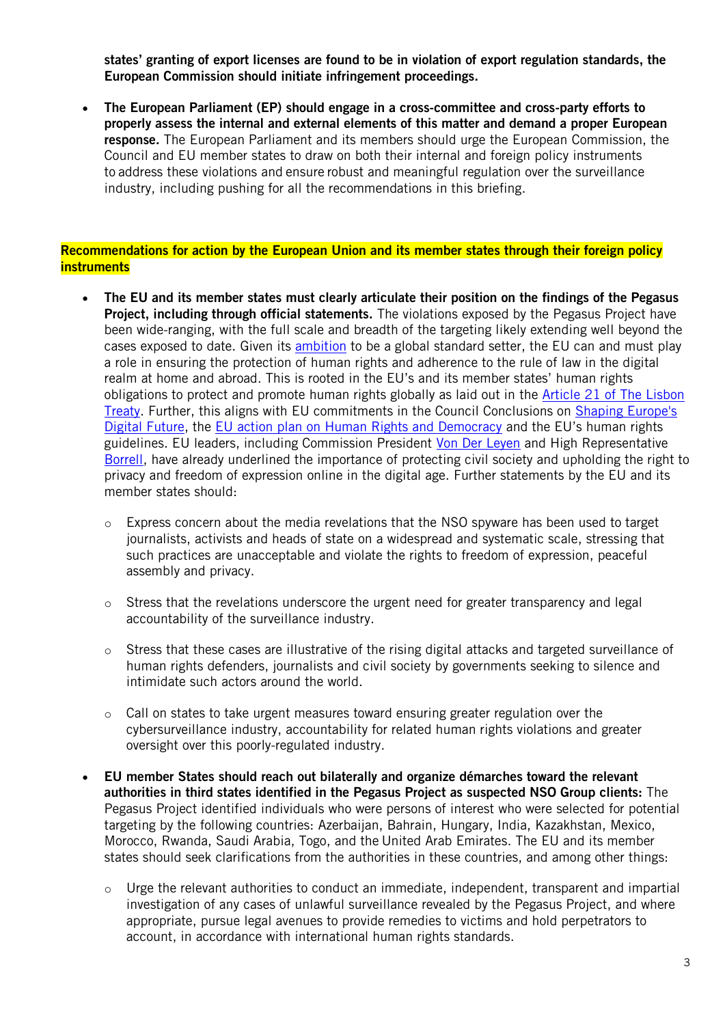states' granting of export licenses are found to be in violation of export regulation standards, the European Commission should initiate infringement proceedings.

• The European Parliament (EP) should engage in a cross-committee and cross-party efforts to properly assess the internal and external elements of this matter and demand a proper European response. The European Parliament and its members should urge the European Commission, the Council and EU member states to draw on both their internal and foreign policy instruments to address these violations and ensure robust and meaningful regulation over the surveillance industry, including pushing for all the recommendations in this briefing.

## Recommendations for action by the European Union and its member states through their foreign policy **instruments**

- The EU and its member states must clearly articulate their position on the findings of the Pegasus **Project, including through official statements.** The violations exposed by the Pegasus Project have been wide-ranging, with the full scale and breadth of the targeting likely extending well beyond the cases exposed to date. Given its [ambition](https://eeas.europa.eu/headquarters/headquarters-homepage/101659/foreign-affairs-council-press-remarks-high-representative-josep-borrell_en) to be a global standard setter, the EU can and must play a role in ensuring the protection of human rights and adherence to the rule of law in the digital realm at home and abroad. This is rooted in the EU's and its member states' human rights obligations to protect and promote human rights globally as laid out in the [Article 21 of The Lisbon](https://www.lisbon-treaty.org/files/101-article-10a_d6ry20ghb24s245e4dnjcv.html)  [Treaty.](https://www.lisbon-treaty.org/files/101-article-10a_d6ry20ghb24s245e4dnjcv.html) Further, this aligns with EU commitments in the Council Conclusions on [Shaping Europe's](https://data.consilium.europa.eu/doc/document/ST-8711-2020-INIT/en/pdf)  [Digital Future,](https://data.consilium.europa.eu/doc/document/ST-8711-2020-INIT/en/pdf) the [EU action plan on Human Rights and Democracy](https://www.consilium.europa.eu/media/46838/st12848-en20.pdf) and the EU's human rights guidelines. EU leaders, including Commission President [Von Der Leyen](https://ec.europa.eu/commission/presscorner/detail/en/SPEECH_20_1655) and High Representative [Borrell,](https://eeas.europa.eu/headquarters/headquarters-homepage/90300/eu-ngo-forum-keynote-speech-high-representativevice-president-josep-borrell-opening-session_en) have already underlined the importance of protecting civil society and upholding the right to privacy and freedom of expression online in the digital age. Further statements by the EU and its member states should:
	- $\circ$  Express concern about the media revelations that the NSO spyware has been used to target journalists, activists and heads of state on a widespread and systematic scale, stressing that such practices are unacceptable and violate the rights to freedom of expression, peaceful assembly and privacy.
	- o Stress that the revelations underscore the urgent need for greater transparency and legal accountability of the surveillance industry.
	- o Stress that these cases are illustrative of the rising digital attacks and targeted surveillance of human rights defenders, journalists and civil society by governments seeking to silence and intimidate such actors around the world.
	- $\circ$  Call on states to take urgent measures toward ensuring greater regulation over the cybersurveillance industry, accountability for related human rights violations and greater oversight over this poorly-regulated industry.
- EU member States should reach out bilaterally and organize démarches toward the relevant authorities in third states identified in the Pegasus Project as suspected NSO Group clients: The Pegasus Project identified individuals who were persons of interest who were selected for potential targeting by the following countries: Azerbaijan, Bahrain, Hungary, India, Kazakhstan, Mexico, Morocco, Rwanda, Saudi Arabia, Togo, and the United Arab Emirates. The EU and its member states should seek clarifications from the authorities in these countries, and among other things:
	- o Urge the relevant authorities to conduct an immediate, independent, transparent and impartial investigation of any cases of unlawful surveillance revealed by the Pegasus Project, and where appropriate, pursue legal avenues to provide remedies to victims and hold perpetrators to account, in accordance with international human rights standards.